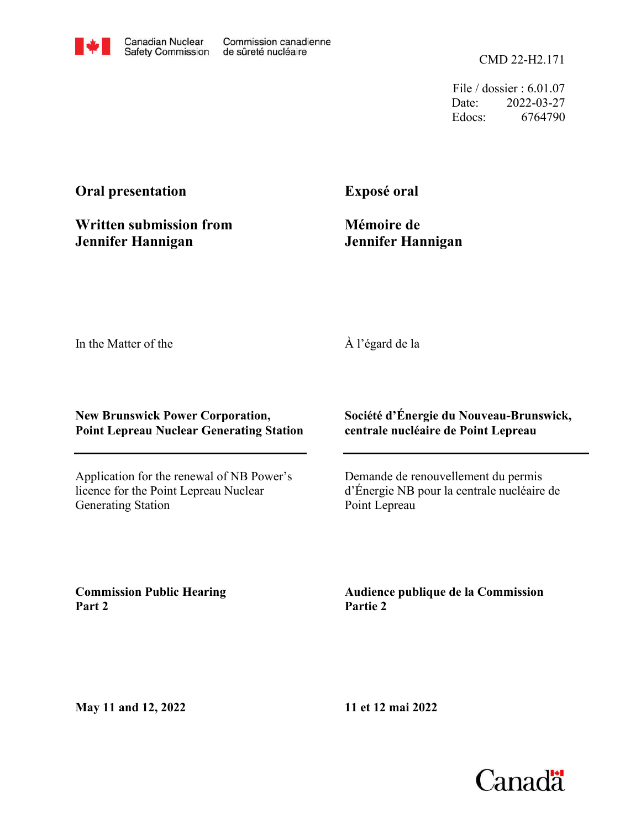CMD 22-H2.171

File / dossier : 6.01.07 Date: 2022-03-27 Edocs: 6764790

# **Oral presentation**

**Written submission from Jennifer Hannigan**

**Exposé oral**

**Mémoire de Jennifer Hannigan**

In the Matter of the

### À l'égard de la

#### **New Brunswick Power Corporation, Point Lepreau Nuclear Generating Station**

Application for the renewal of NB Power's licence for the Point Lepreau Nuclear Generating Station

#### **Société d'Énergie du Nouveau-Brunswick, centrale nucléaire de Point Lepreau**

Demande de renouvellement du permis d'Énergie NB pour la centrale nucléaire de Point Lepreau

**Commission Public Hearing Part 2**

**Audience publique de la Commission Partie 2**

**May 11 and 12, 2022**

**11 et 12 mai 2022**

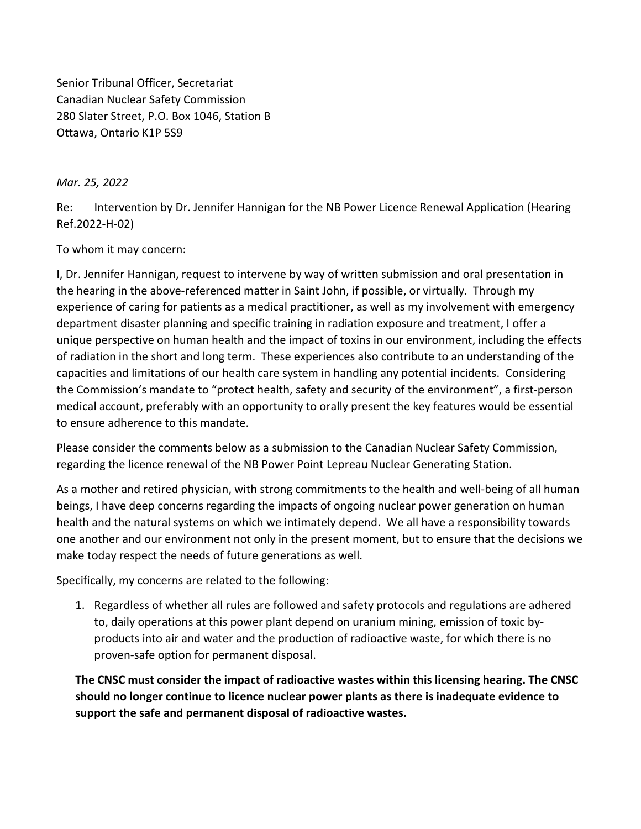Senior Tribunal Officer, Secretariat Canadian Nuclear Safety Commission 280 Slater Street, P.O. Box 1046, Station B Ottawa, Ontario K1P 5S9

Mar. 25, 2022

Re: Intervention by Dr. Jennifer Hannigan for the NB Power Licence Renewal Application (Hearing Ref.2022-H-02)

To whom it may concern:

I, Dr. Jennifer Hannigan, request to intervene by way of written submission and oral presentation in the hearing in the above-referenced matter in Saint John, if possible, or virtually. Through my experience of caring for patients as a medical practitioner, as well as my involvement with emergency department disaster planning and specific training in radiation exposure and treatment, I offer a unique perspective on human health and the impact of toxins in our environment, including the effects of radiation in the short and long term. These experiences also contribute to an understanding of the capacities and limitations of our health care system in handling any potential incidents. Considering the Commission's mandate to "protect health, safety and security of the environment", a first-person medical account, preferably with an opportunity to orally present the key features would be essential to ensure adherence to this mandate.

Please consider the comments below as a submission to the Canadian Nuclear Safety Commission, regarding the licence renewal of the NB Power Point Lepreau Nuclear Generating Station.

As a mother and retired physician, with strong commitments to the health and well-being of all human beings, I have deep concerns regarding the impacts of ongoing nuclear power generation on human health and the natural systems on which we intimately depend. We all have a responsibility towards one another and our environment not only in the present moment, but to ensure that the decisions we make today respect the needs of future generations as well.

Specifically, my concerns are related to the following:

1. Regardless of whether all rules are followed and safety protocols and regulations are adhered to, daily operations at this power plant depend on uranium mining, emission of toxic byproducts into air and water and the production of radioactive waste, for which there is no proven-safe option for permanent disposal.

The CNSC must consider the impact of radioactive wastes within this licensing hearing. The CNSC should no longer continue to licence nuclear power plants as there is inadequate evidence to support the safe and permanent disposal of radioactive wastes.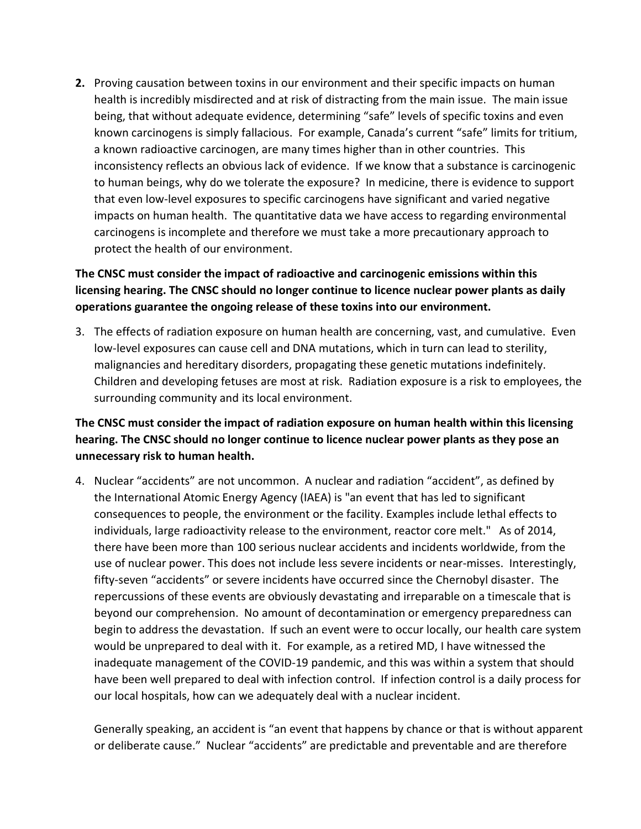2. Proving causation between toxins in our environment and their specific impacts on human health is incredibly misdirected and at risk of distracting from the main issue. The main issue being, that without adequate evidence, determining "safe" levels of specific toxins and even known carcinogens is simply fallacious. For example, Canada's current "safe" limits for tritium, a known radioactive carcinogen, are many times higher than in other countries. This inconsistency reflects an obvious lack of evidence. If we know that a substance is carcinogenic to human beings, why do we tolerate the exposure? In medicine, there is evidence to support that even low-level exposures to specific carcinogens have significant and varied negative impacts on human health. The quantitative data we have access to regarding environmental carcinogens is incomplete and therefore we must take a more precautionary approach to protect the health of our environment.

# The CNSC must consider the impact of radioactive and carcinogenic emissions within this licensing hearing. The CNSC should no longer continue to licence nuclear power plants as daily operations guarantee the ongoing release of these toxins into our environment.

3. The effects of radiation exposure on human health are concerning, vast, and cumulative. Even low-level exposures can cause cell and DNA mutations, which in turn can lead to sterility, malignancies and hereditary disorders, propagating these genetic mutations indefinitely. Children and developing fetuses are most at risk. Radiation exposure is a risk to employees, the surrounding community and its local environment.

## The CNSC must consider the impact of radiation exposure on human health within this licensing hearing. The CNSC should no longer continue to licence nuclear power plants as they pose an unnecessary risk to human health.

4. Nuclear "accidents" are not uncommon. A nuclear and radiation "accident", as defined by the International Atomic Energy Agency (IAEA) is "an event that has led to significant consequences to people, the environment or the facility. Examples include lethal effects to individuals, large radioactivity release to the environment, reactor core melt." As of 2014, there have been more than 100 serious nuclear accidents and incidents worldwide, from the use of nuclear power. This does not include less severe incidents or near-misses. Interestingly, fifty-seven "accidents" or severe incidents have occurred since the Chernobyl disaster. The repercussions of these events are obviously devastating and irreparable on a timescale that is beyond our comprehension. No amount of decontamination or emergency preparedness can begin to address the devastation. If such an event were to occur locally, our health care system would be unprepared to deal with it. For example, as a retired MD, I have witnessed the inadequate management of the COVID-19 pandemic, and this was within a system that should have been well prepared to deal with infection control. If infection control is a daily process for our local hospitals, how can we adequately deal with a nuclear incident.

Generally speaking, an accident is "an event that happens by chance or that is without apparent or deliberate cause." Nuclear "accidents" are predictable and preventable and are therefore